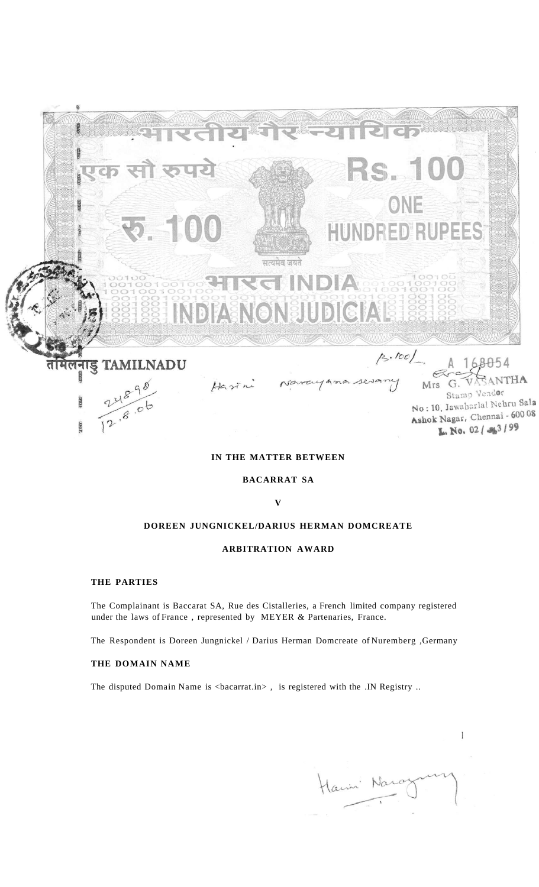

# **IN THE MATTER BETWEEN**

**BACARRAT SA** 

**V** 

# **DOREEN JUNGNICKEL/DARIUS HERMAN DOMCREATE**

## **ARBITRATION AWARD**

#### **THE PARTIES**

The Complainant is Baccarat SA, Rue des Cistalleries, a French limited company registered under the laws of France , represented by MEYER & Partenaries, France.

The Respondent is Doreen Jungnickel / Darius Herman Domcreate of Nuremberg ,Germany

# **THE DOMAIN NAME**

The disputed Domain Name is <br/>bacarrat.in>, is registered with the .IN Registry ..

Harin Nar

 $\mathbf{1}$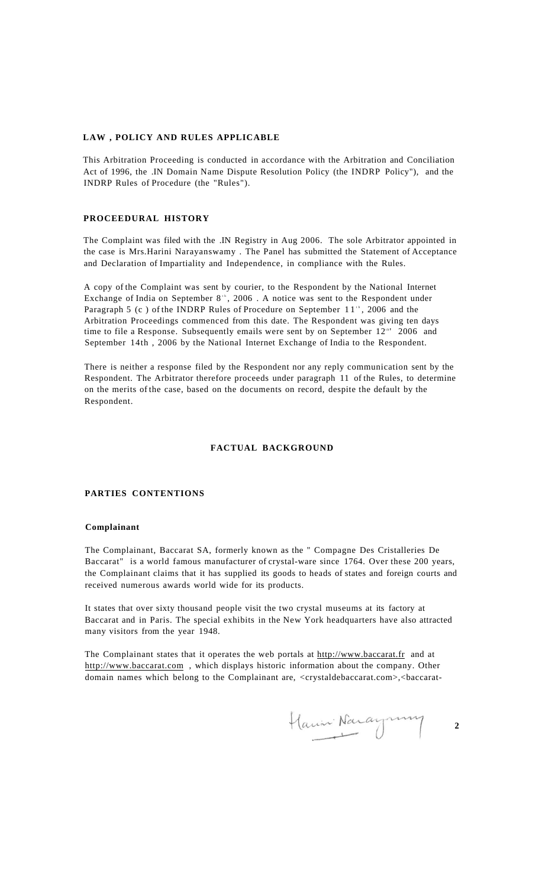#### **LAW , POLICY AND RULES APPLICABLE**

This Arbitration Proceeding is conducted in accordance with the Arbitration and Conciliation Act of 1996, the .IN Domain Name Dispute Resolution Policy (the INDRP Policy"), and the INDRP Rules of Procedure (the "Rules").

### **PROCEEDURAL HISTORY**

The Complaint was filed with the .IN Registry in Aug 2006. The sole Arbitrator appointed in the case is Mrs.Harini Narayanswamy . The Panel has submitted the Statement of Acceptance and Declaration of Impartiality and Independence, in compliance with the Rules.

A copy of the Complaint was sent by courier, to the Respondent by the National Internet Exchange of India on September  $8^{\text{th}}$ , 2006. A notice was sent to the Respondent under Paragraph 5 (c) of the INDRP Rules of Procedure on September  $11^{\text{th}}$ , 2006 and the Arbitration Proceedings commenced from this date. The Respondent was giving ten days time to file a Response. Subsequently emails were sent by on September 12<sup>th</sup> 2006 and September 14th , 2006 by the National Internet Exchange of India to the Respondent.

There is neither a response filed by the Respondent nor any reply communication sent by the Respondent. The Arbitrator therefore proceeds under paragraph 11 of the Rules, to determine on the merits of the case, based on the documents on record, despite the default by the Respondent.

# **FACTUAL BACKGROUND**

#### **PARTIES CONTENTIONS**

### **Complainant**

The Complainant, Baccarat SA, formerly known as the " Compagne Des Cristalleries De Baccarat" is a world famous manufacturer of crystal-ware since 1764. Over these 200 years, the Complainant claims that it has supplied its goods to heads of states and foreign courts and received numerous awards world wide for its products.

It states that over sixty thousand people visit the two crystal museums at its factory at Baccarat and in Paris. The special exhibits in the New York headquarters have also attracted many visitors from the year 1948.

The Complainant states that it operates the web portals at [http://www.baccarat.fr a](http://www.baccarat.fr)nd at [http://www.baccarat.com ,](http://www.baccarat.com) which displays historic information about the company. Other domain names which belong to the Complainant are, <crystaldebaccarat.com>,<br/>>baccarat-

Hann Naraynny **2**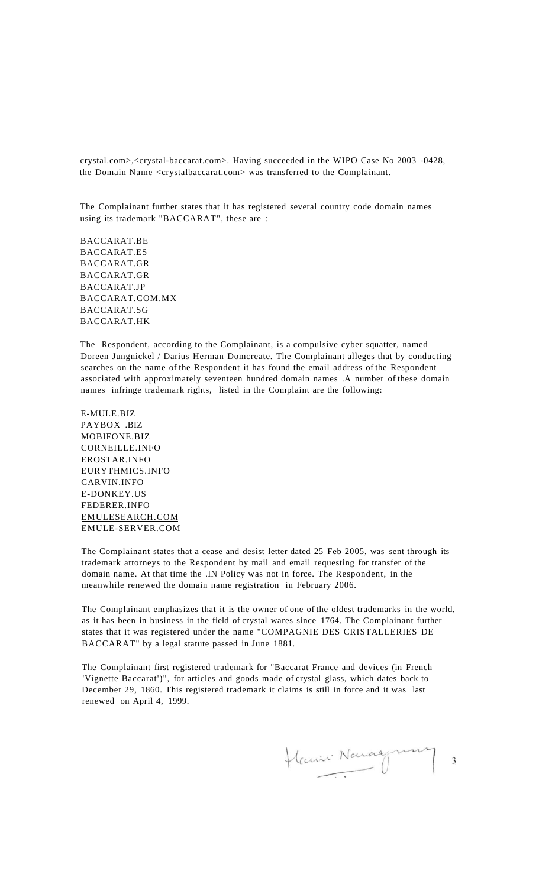crystal.com>,<crystal-baccarat.com>. Having succeeded in the WIPO Case No 2003 -0428, the Domain Name <crystalbaccarat.com> was transferred to the Complainant.

The Complainant further states that it has registered several country code domain names using its trademark "BACCARAT", these are :

BACCARAT.BE BACCARAT.ES BACCARAT.GR BACCARAT.GR BACCARAT.JP BACCARAT.COM.MX BACCARAT.SG BACCARAT.HK

The Respondent, according to the Complainant, is a compulsive cyber squatter, named Doreen Jungnickel / Darius Herman Domcreate. The Complainant alleges that by conducting searches on the name of the Respondent it has found the email address of the Respondent associated with approximately seventeen hundred domain names .A number of these domain names infringe trademark rights, listed in the Complaint are the following:

E-MULE.BIZ PAYBOX .BIZ MOBIFONE.BIZ CORNEILLE.INFO EROSTAR.INFO EURYTHMICS.INFO CARVIN.INFO E-DONKEY.US FEDERER.INFO [EMULESEARCH.COM](http://EMULESEARCH.COM)  EMULE-SERVER.COM

The Complainant states that a cease and desist letter dated 25 Feb 2005, was sent through its trademark attorneys to the Respondent by mail and email requesting for transfer of the domain name. At that time the .IN Policy was not in force. The Respondent, in the meanwhile renewed the domain name registration in February 2006.

The Complainant emphasizes that it is the owner of one of the oldest trademarks in the world, as it has been in business in the field of crystal wares since 1764. The Complainant further states that it was registered under the name "COMPAGNIE DES CRISTALLERIES DE BACCARAT" by a legal statute passed in June 1881.

The Complainant first registered trademark for "Baccarat France and devices (in French 'Vignette Baccarat')", for articles and goods made of crystal glass, which dates back to December 29, 1860. This registered trademark it claims is still in force and it was last renewed on April 4, 1999.

Hain Navagnung  $\overline{\mathbf{3}}$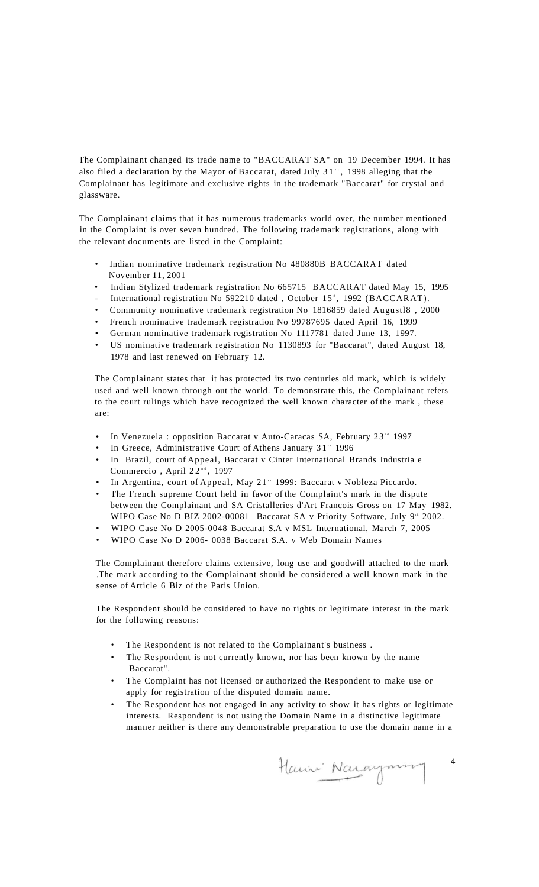The Complainant changed its trade name to "BACCARAT SA" on 19 December 1994. It has also filed a declaration by the Mayor of Baccarat, dated July  $31$ ", 1998 alleging that the Complainant has legitimate and exclusive rights in the trademark "Baccarat" for crystal and glassware.

The Complainant claims that it has numerous trademarks world over, the number mentioned in the Complaint is over seven hundred. The following trademark registrations, along with the relevant documents are listed in the Complaint:

- Indian nominative trademark registration No 480880B BACCARAT dated November 11, 2001
- Indian Stylized trademark registration No 665715 BACCARAT dated May 15, 1995
- International registration No 592210 dated, October  $15^{\circ}$ , 1992 (BACCARAT).
- Community nominative trademark registration No 1816859 dated Augustl8 , 2000
- French nominative trademark registration No 99787695 dated April 16, 1999
- German nominative trademark registration No 1117781 dated June 13, 1997.
- US nominative trademark registration No 1130893 for "Baccarat", dated August 18, 1978 and last renewed on February 12.

The Complainant states that it has protected its two centuries old mark, which is widely used and well known through out the world. To demonstrate this, the Complainant refers to the court rulings which have recognized the well known character of the mark , these are:

- In Venezuela : opposition Baccarat v Auto-Caracas SA, February 23<sup>-4</sup> 1997
- In Greece, Administrative Court of Athens January 31" 1996
- In Brazil, court of Appeal, Baccarat v Cinter International Brands Industria e Commercio, April  $22^{nd}$ , 1997
- In Argentina, court of Appeal, May  $21$ <sup>\*</sup> 1999: Baccarat v Nobleza Piccardo.
- The French supreme Court held in favor of the Complaint's mark in the dispute between the Complainant and SA Cristalleries d'Art Francois Gross on 17 May 1982. WIPO Case No D BIZ 2002-00081 Baccarat SA v Priority Software, July  $9<sup>th</sup>$  2002.
- WIPO Case No D 2005-0048 Baccarat S.A v MSL International, March 7, 2005
- WIPO Case No D 2006- 0038 Baccarat S.A. v Web Domain Names

The Complainant therefore claims extensive, long use and goodwill attached to the mark .The mark according to the Complainant should be considered a well known mark in the sense of Article 6 Biz of the Paris Union.

The Respondent should be considered to have no rights or legitimate interest in the mark for the following reasons:

- The Respondent is not related to the Complainant's business.
- The Respondent is not currently known, nor has been known by the name Baccarat".
- The Complaint has not licensed or authorized the Respondent to make use or apply for registration of the disputed domain name.
- The Respondent has not engaged in any activity to show it has rights or legitimate interests. Respondent is not using the Domain Name in a distinctive legitimate manner neither is there any demonstrable preparation to use the domain name in a

Hauni Naraymung

4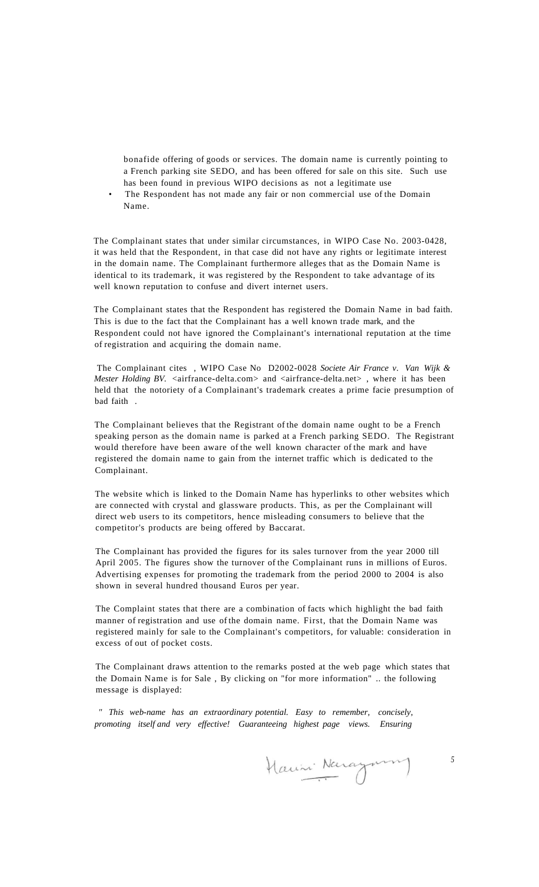bonafide offering of goods or services. The domain name is currently pointing to a French parking site SEDO, and has been offered for sale on this site. Such use has been found in previous WIPO decisions as not a legitimate use

The Respondent has not made any fair or non commercial use of the Domain Name.

The Complainant states that under similar circumstances, in WIPO Case No. 2003-0428, it was held that the Respondent, in that case did not have any rights or legitimate interest in the domain name. The Complainant furthermore alleges that as the Domain Name is identical to its trademark, it was registered by the Respondent to take advantage of its well known reputation to confuse and divert internet users.

The Complainant states that the Respondent has registered the Domain Name in bad faith. This is due to the fact that the Complainant has a well known trade mark, and the Respondent could not have ignored the Complainant's international reputation at the time of registration and acquiring the domain name.

The Complainant cites , WIPO Case No D2002-0028 *Societe Air France v. Van Wijk & Mester Holding BV.* <airfrance-delta.com> and <airfrance-delta.net>, where it has been held that the notoriety of a Complainant's trademark creates a prime facie presumption of bad faith .

The Complainant believes that the Registrant of the domain name ought to be a French speaking person as the domain name is parked at a French parking SEDO. The Registrant would therefore have been aware of the well known character of the mark and have registered the domain name to gain from the internet traffic which is dedicated to the Complainant.

The website which is linked to the Domain Name has hyperlinks to other websites which are connected with crystal and glassware products. This, as per the Complainant will direct web users to its competitors, hence misleading consumers to believe that the competitor's products are being offered by Baccarat.

The Complainant has provided the figures for its sales turnover from the year 2000 till April 2005. The figures show the turnover of the Complainant runs in millions of Euros. Advertising expenses for promoting the trademark from the period 2000 to 2004 is also shown in several hundred thousand Euros per year.

The Complaint states that there are a combination of facts which highlight the bad faith manner of registration and use of the domain name. First, that the Domain Name was registered mainly for sale to the Complainant's competitors, for valuable: consideration in excess of out of pocket costs.

The Complainant draws attention to the remarks posted at the web page which states that the Domain Name is for Sale , By clicking on "for more information" .. the following message is displayed:

*" This web-name has an extraordinary potential. Easy to remember, concisely, promoting itself and very effective! Guaranteeing highest page views. Ensuring* 

*5*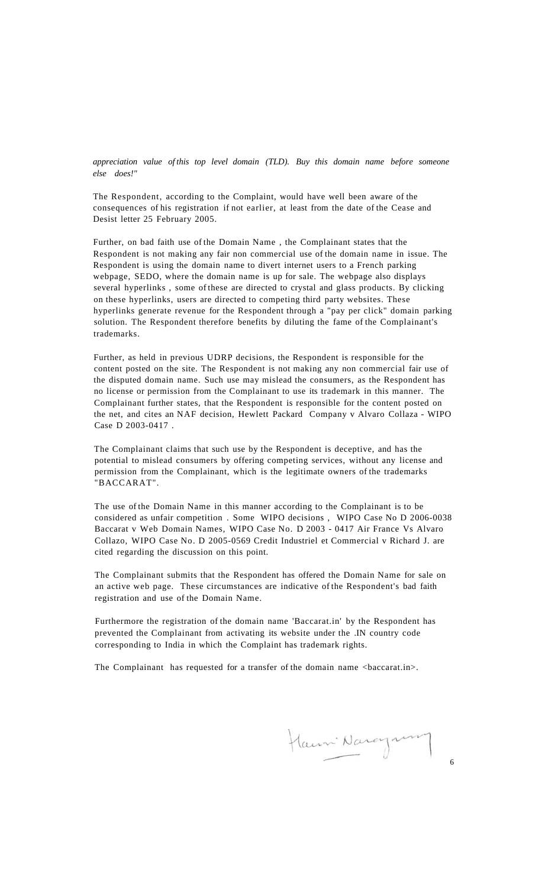*appreciation value of this top level domain (TLD). Buy this domain name before someone else does!"* 

The Respondent, according to the Complaint, would have well been aware of the consequences of his registration if not earlier, at least from the date of the Cease and Desist letter 25 February 2005.

Further, on bad faith use of the Domain Name , the Complainant states that the Respondent is not making any fair non commercial use of the domain name in issue. The Respondent is using the domain name to divert internet users to a French parking webpage, SEDO, where the domain name is up for sale. The webpage also displays several hyperlinks , some of these are directed to crystal and glass products. By clicking on these hyperlinks, users are directed to competing third party websites. These hyperlinks generate revenue for the Respondent through a "pay per click" domain parking solution. The Respondent therefore benefits by diluting the fame of the Complainant's trademarks.

Further, as held in previous UDRP decisions, the Respondent is responsible for the content posted on the site. The Respondent is not making any non commercial fair use of the disputed domain name. Such use may mislead the consumers, as the Respondent has no license or permission from the Complainant to use its trademark in this manner. The Complainant further states, that the Respondent is responsible for the content posted on the net, and cites an NAF decision, Hewlett Packard Company v Alvaro Collaza - WIPO Case D 2003-0417 .

The Complainant claims that such use by the Respondent is deceptive, and has the potential to mislead consumers by offering competing services, without any license and permission from the Complainant, which is the legitimate owners of the trademarks "BACCARAT".

The use of the Domain Name in this manner according to the Complainant is to be considered as unfair competition . Some WIPO decisions , WIPO Case No D 2006-0038 Baccarat v Web Domain Names, WIPO Case No. D 2003 - 0417 Air France Vs Alvaro Collazo, WIPO Case No. D 2005-0569 Credit Industriel et Commercial v Richard J. are cited regarding the discussion on this point.

The Complainant submits that the Respondent has offered the Domain Name for sale on an active web page. These circumstances are indicative of the Respondent's bad faith registration and use of the Domain Name.

Furthermore the registration of the domain name 'Baccarat.in' by the Respondent has prevented the Complainant from activating its website under the .IN country code corresponding to India in which the Complaint has trademark rights.

The Complainant has requested for a transfer of the domain name <br/>baccarat.in>.

Hanni Naraynon

6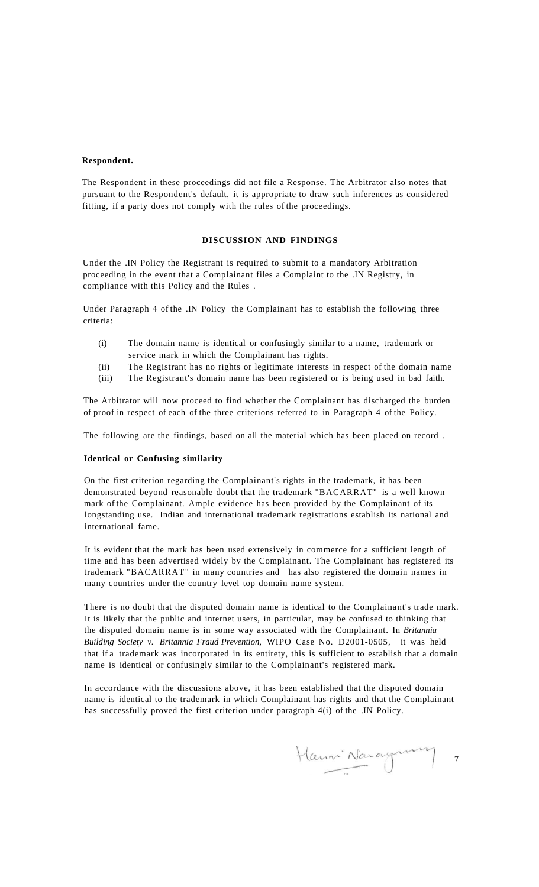#### **Respondent.**

The Respondent in these proceedings did not file a Response. The Arbitrator also notes that pursuant to the Respondent's default, it is appropriate to draw such inferences as considered fitting, if a party does not comply with the rules of the proceedings.

### **DISCUSSION AND FINDINGS**

Under the .IN Policy the Registrant is required to submit to a mandatory Arbitration proceeding in the event that a Complainant files a Complaint to the .IN Registry, in compliance with this Policy and the Rules .

Under Paragraph 4 of the .IN Policy the Complainant has to establish the following three criteria:

- (i) The domain name is identical or confusingly similar to a name, trademark or service mark in which the Complainant has rights.
- (ii) The Registrant has no rights or legitimate interests in respect of the domain name
- (iii) The Registrant's domain name has been registered or is being used in bad faith.

The Arbitrator will now proceed to find whether the Complainant has discharged the burden of proof in respect of each of the three criterions referred to in Paragraph 4 of the Policy.

The following are the findings, based on all the material which has been placed on record .

## **Identical or Confusing similarity**

On the first criterion regarding the Complainant's rights in the trademark, it has been demonstrated beyond reasonable doubt that the trademark "BACARRAT" is a well known mark of the Complainant. Ample evidence has been provided by the Complainant of its longstanding use. Indian and international trademark registrations establish its national and international fame.

It is evident that the mark has been used extensively in commerce for a sufficient length of time and has been advertised widely by the Complainant. The Complainant has registered its trademark "BACARRAT" in many countries and has also registered the domain names in many countries under the country level top domain name system.

There is no doubt that the disputed domain name is identical to the Complainant's trade mark. It is likely that the public and internet users, in particular, may be confused to thinking that the disputed domain name is in some way associated with the Complainant. In *Britannia Building Society v. Britannia Fraud Prevention,* WIPO Case No. D2001-0505, it was held that if a trademark was incorporated in its entirety, this is sufficient to establish that a domain name is identical or confusingly similar to the Complainant's registered mark.

In accordance with the discussions above, it has been established that the disputed domain name is identical to the trademark in which Complainant has rights and that the Complainant has successfully proved the first criterion under paragraph 4(i) of the .IN Policy.

Haumi Nacagnum 7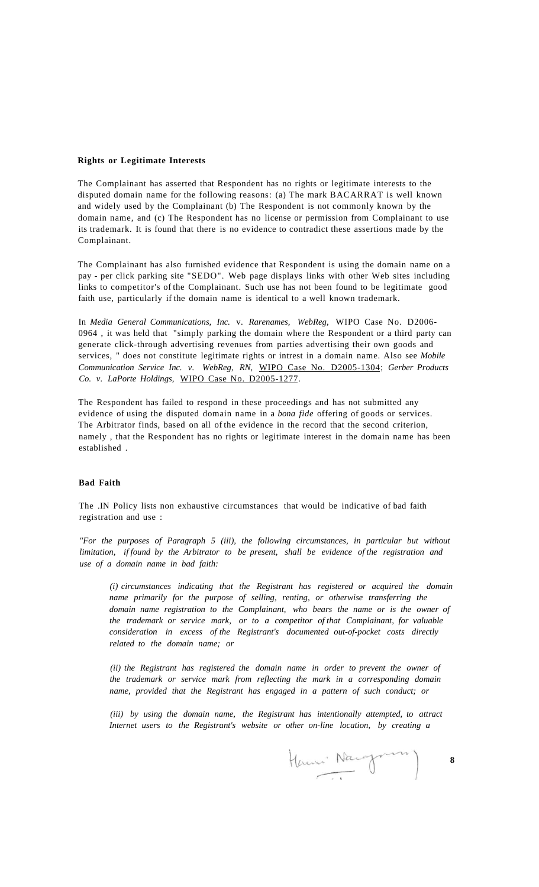#### **Rights or Legitimate Interests**

The Complainant has asserted that Respondent has no rights or legitimate interests to the disputed domain name for the following reasons: (a) The mark BACARRAT is well known and widely used by the Complainant (b) The Respondent is not commonly known by the domain name, and (c) The Respondent has no license or permission from Complainant to use its trademark. It is found that there is no evidence to contradict these assertions made by the Complainant.

The Complainant has also furnished evidence that Respondent is using the domain name on a pay - per click parking site "SEDO". Web page displays links with other Web sites including links to competitor's of the Complainant. Such use has not been found to be legitimate good faith use, particularly if the domain name is identical to a well known trademark.

In *Media General Communications, Inc.* v. *Rarenames, WebReg,* WIPO Case No. D2006- 0964 , it was held that "simply parking the domain where the Respondent or a third party can generate click-through advertising revenues from parties advertising their own goods and services, " does not constitute legitimate rights or intrest in a domain name. Also see *Mobile Communication Service Inc. v. WebReg, RN,* WIPO Case No. D2005-1304; *Gerber Products Co. v. LaPorte Holdings,* WIPO Case No. D2005-1277.

The Respondent has failed to respond in these proceedings and has not submitted any evidence of using the disputed domain name in a *bona fide* offering of goods or services. The Arbitrator finds, based on all of the evidence in the record that the second criterion, namely , that the Respondent has no rights or legitimate interest in the domain name has been established .

### **Bad Faith**

The .IN Policy lists non exhaustive circumstances that would be indicative of bad faith registration and use :

*"For the purposes of Paragraph 5 (iii), the following circumstances, in particular but without limitation, if found by the Arbitrator to be present, shall be evidence of the registration and use of a domain name in bad faith:* 

*(i) circumstances indicating that the Registrant has registered or acquired the domain name primarily for the purpose of selling, renting, or otherwise transferring the domain name registration to the Complainant, who bears the name or is the owner of the trademark or service mark, or to a competitor of that Complainant, for valuable consideration in excess of the Registrant's documented out-of-pocket costs directly related to the domain name; or* 

*(ii) the Registrant has registered the domain name in order to prevent the owner of the trademark or service mark from reflecting the mark in a corresponding domain name, provided that the Registrant has engaged in a pattern of such conduct; or* 

*(iii) by using the domain name, the Registrant has intentionally attempted, to attract Internet users to the Registrant's website or other on-line location, by creating a* 

**8**